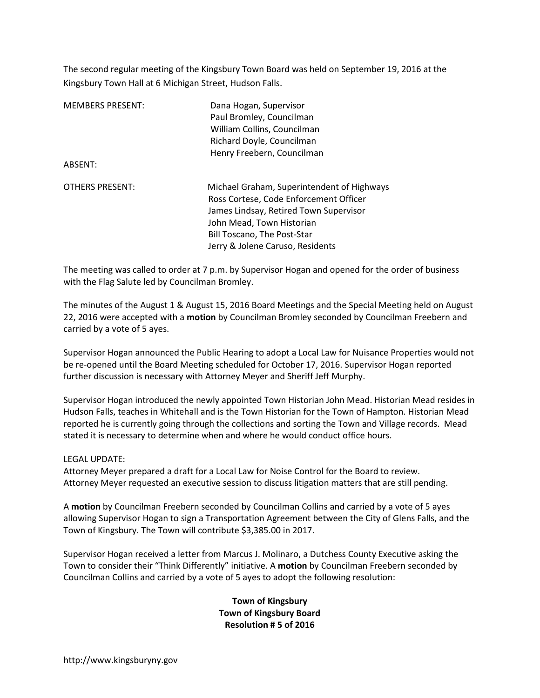The second regular meeting of the Kingsbury Town Board was held on September 19, 2016 at the Kingsbury Town Hall at 6 Michigan Street, Hudson Falls.

| <b>MEMBERS PRESENT:</b><br>ABSENT: | Dana Hogan, Supervisor<br>Paul Bromley, Councilman<br>William Collins, Councilman<br>Richard Doyle, Councilman<br>Henry Freebern, Councilman                                                                                          |
|------------------------------------|---------------------------------------------------------------------------------------------------------------------------------------------------------------------------------------------------------------------------------------|
| <b>OTHERS PRESENT:</b>             | Michael Graham, Superintendent of Highways<br>Ross Cortese, Code Enforcement Officer<br>James Lindsay, Retired Town Supervisor<br>John Mead, Town Historian<br><b>Bill Toscano, The Post-Star</b><br>Jerry & Jolene Caruso, Residents |

The meeting was called to order at 7 p.m. by Supervisor Hogan and opened for the order of business with the Flag Salute led by Councilman Bromley.

The minutes of the August 1 & August 15, 2016 Board Meetings and the Special Meeting held on August 22, 2016 were accepted with a **motion** by Councilman Bromley seconded by Councilman Freebern and carried by a vote of 5 ayes.

Supervisor Hogan announced the Public Hearing to adopt a Local Law for Nuisance Properties would not be re-opened until the Board Meeting scheduled for October 17, 2016. Supervisor Hogan reported further discussion is necessary with Attorney Meyer and Sheriff Jeff Murphy.

Supervisor Hogan introduced the newly appointed Town Historian John Mead. Historian Mead resides in Hudson Falls, teaches in Whitehall and is the Town Historian for the Town of Hampton. Historian Mead reported he is currently going through the collections and sorting the Town and Village records. Mead stated it is necessary to determine when and where he would conduct office hours.

## LEGAL UPDATE:

Attorney Meyer prepared a draft for a Local Law for Noise Control for the Board to review. Attorney Meyer requested an executive session to discuss litigation matters that are still pending.

A **motion** by Councilman Freebern seconded by Councilman Collins and carried by a vote of 5 ayes allowing Supervisor Hogan to sign a Transportation Agreement between the City of Glens Falls, and the Town of Kingsbury. The Town will contribute \$3,385.00 in 2017.

Supervisor Hogan received a letter from Marcus J. Molinaro, a Dutchess County Executive asking the Town to consider their "Think Differently" initiative. A **motion** by Councilman Freebern seconded by Councilman Collins and carried by a vote of 5 ayes to adopt the following resolution:

> **Town of Kingsbury Town of Kingsbury Board Resolution # 5 of 2016**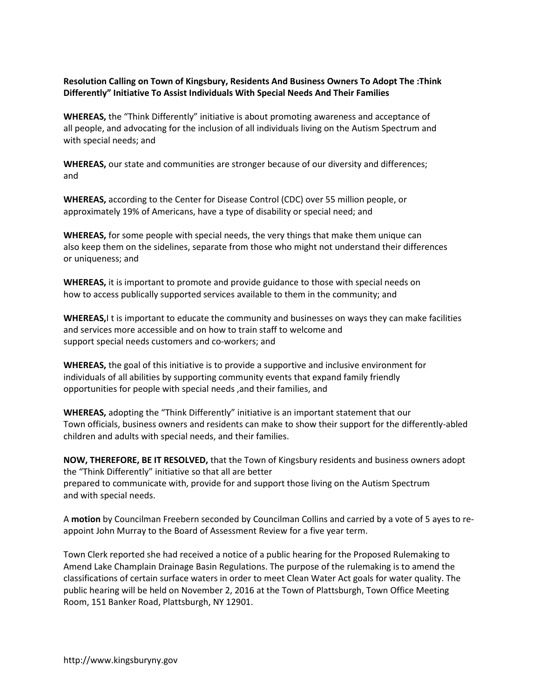## **Resolution Calling on Town of Kingsbury, Residents And Business Owners To Adopt The :Think Differently" Initiative To Assist Individuals With Special Needs And Their Families**

**WHEREAS,** the "Think Differently" initiative is about promoting awareness and acceptance of all people, and advocating for the inclusion of all individuals living on the Autism Spectrum and with special needs; and

**WHEREAS,** our state and communities are stronger because of our diversity and differences; and

**WHEREAS,** according to the Center for Disease Control (CDC) over 55 million people, or approximately 19% of Americans, have a type of disability or special need; and

**WHEREAS,** for some people with special needs, the very things that make them unique can also keep them on the sidelines, separate from those who might not understand their differences or uniqueness; and

**WHEREAS,** it is important to promote and provide guidance to those with special needs on how to access publically supported services available to them in the community; and

**WHEREAS,**I t is important to educate the community and businesses on ways they can make facilities and services more accessible and on how to train staff to welcome and support special needs customers and co-workers; and

**WHEREAS,** the goal of this initiative is to provide a supportive and inclusive environment for individuals of all abilities by supporting community events that expand family friendly opportunities for people with special needs ,and their families, and

**WHEREAS,** adopting the "Think Differently" initiative is an important statement that our Town officials, business owners and residents can make to show their support for the differently-abled children and adults with special needs, and their families.

**NOW, THEREFORE, BE IT RESOLVED,** that the Town of Kingsbury residents and business owners adopt the "Think Differently" initiative so that all are better prepared to communicate with, provide for and support those living on the Autism Spectrum and with special needs.

A **motion** by Councilman Freebern seconded by Councilman Collins and carried by a vote of 5 ayes to reappoint John Murray to the Board of Assessment Review for a five year term.

Town Clerk reported she had received a notice of a public hearing for the Proposed Rulemaking to Amend Lake Champlain Drainage Basin Regulations. The purpose of the rulemaking is to amend the classifications of certain surface waters in order to meet Clean Water Act goals for water quality. The public hearing will be held on November 2, 2016 at the Town of Plattsburgh, Town Office Meeting Room, 151 Banker Road, Plattsburgh, NY 12901.